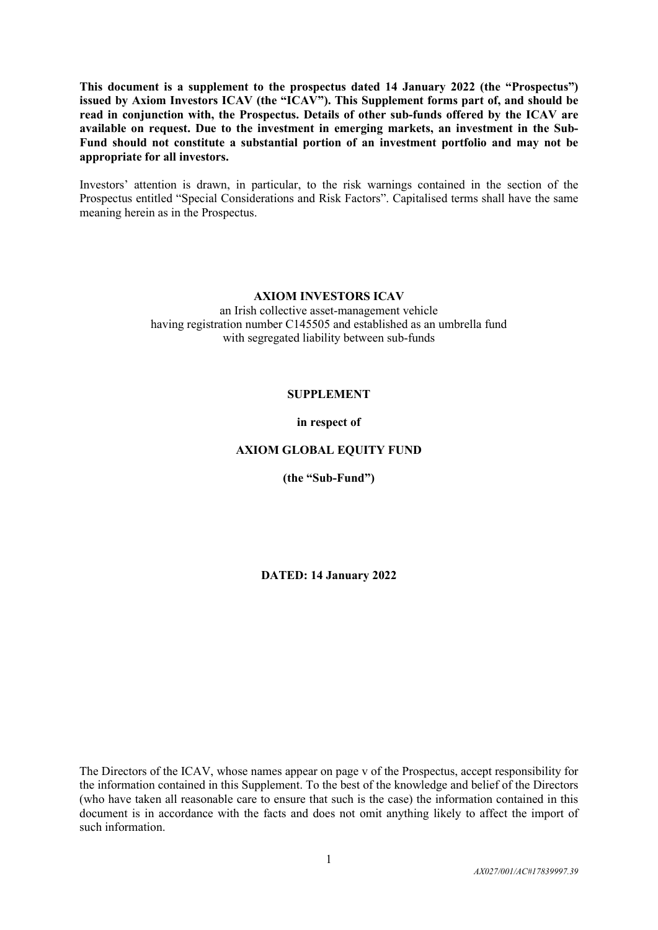**This document is a supplement to the prospectus dated 14 January 2022 (the "Prospectus") issued by Axiom Investors ICAV (the "ICAV"). This Supplement forms part of, and should be read in conjunction with, the Prospectus. Details of other sub-funds offered by the ICAV are available on request. Due to the investment in emerging markets, an investment in the Sub-Fund should not constitute a substantial portion of an investment portfolio and may not be appropriate for all investors.**

Investors' attention is drawn, in particular, to the risk warnings contained in the section of the Prospectus entitled "Special Considerations and Risk Factors". Capitalised terms shall have the same meaning herein as in the Prospectus.

# **AXIOM INVESTORS ICAV**

an Irish collective asset-management vehicle having registration number C145505 and established as an umbrella fund with segregated liability between sub-funds

#### **SUPPLEMENT**

#### **in respect of**

### **AXIOM GLOBAL EQUITY FUND**

**(the "Sub-Fund")**

**DATED: 14 January 2022**

The Directors of the ICAV, whose names appear on page v of the Prospectus, accept responsibility for the information contained in this Supplement. To the best of the knowledge and belief of the Directors (who have taken all reasonable care to ensure that such is the case) the information contained in this document is in accordance with the facts and does not omit anything likely to affect the import of such information.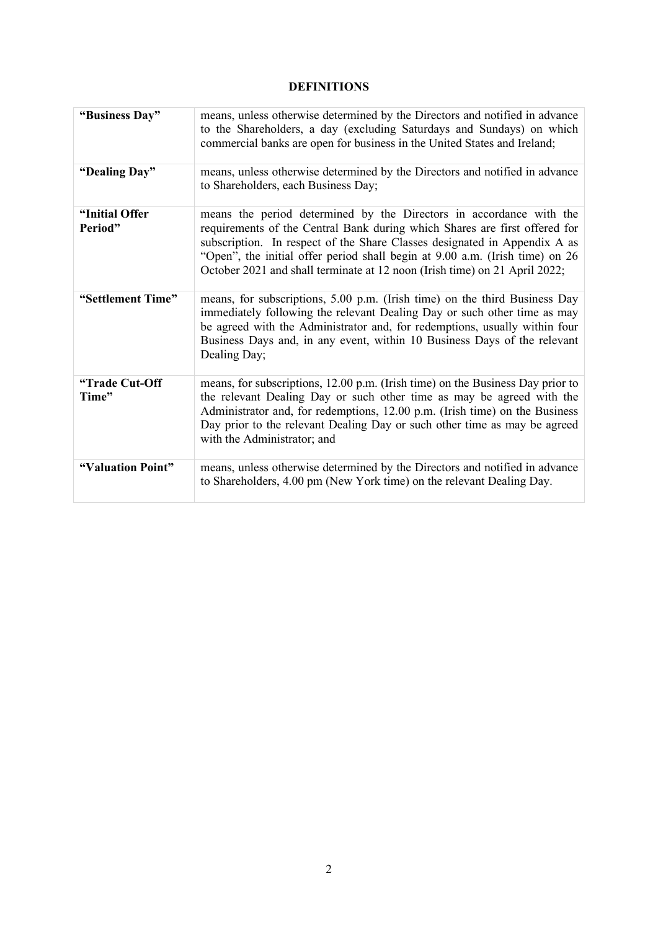# **DEFINITIONS**

| "Business Day"             | means, unless otherwise determined by the Directors and notified in advance<br>to the Shareholders, a day (excluding Saturdays and Sundays) on which<br>commercial banks are open for business in the United States and Ireland;                                                                                                                                                             |
|----------------------------|----------------------------------------------------------------------------------------------------------------------------------------------------------------------------------------------------------------------------------------------------------------------------------------------------------------------------------------------------------------------------------------------|
| "Dealing Day"              | means, unless otherwise determined by the Directors and notified in advance<br>to Shareholders, each Business Day;                                                                                                                                                                                                                                                                           |
| "Initial Offer"<br>Period" | means the period determined by the Directors in accordance with the<br>requirements of the Central Bank during which Shares are first offered for<br>subscription. In respect of the Share Classes designated in Appendix A as<br>"Open", the initial offer period shall begin at 9.00 a.m. (Irish time) on 26<br>October 2021 and shall terminate at 12 noon (Irish time) on 21 April 2022; |
| "Settlement Time"          | means, for subscriptions, 5.00 p.m. (Irish time) on the third Business Day<br>immediately following the relevant Dealing Day or such other time as may<br>be agreed with the Administrator and, for redemptions, usually within four<br>Business Days and, in any event, within 10 Business Days of the relevant<br>Dealing Day;                                                             |
| "Trade Cut-Off<br>Time"    | means, for subscriptions, 12.00 p.m. (Irish time) on the Business Day prior to<br>the relevant Dealing Day or such other time as may be agreed with the<br>Administrator and, for redemptions, 12.00 p.m. (Irish time) on the Business<br>Day prior to the relevant Dealing Day or such other time as may be agreed<br>with the Administrator; and                                           |
| "Valuation Point"          | means, unless otherwise determined by the Directors and notified in advance<br>to Shareholders, 4.00 pm (New York time) on the relevant Dealing Day.                                                                                                                                                                                                                                         |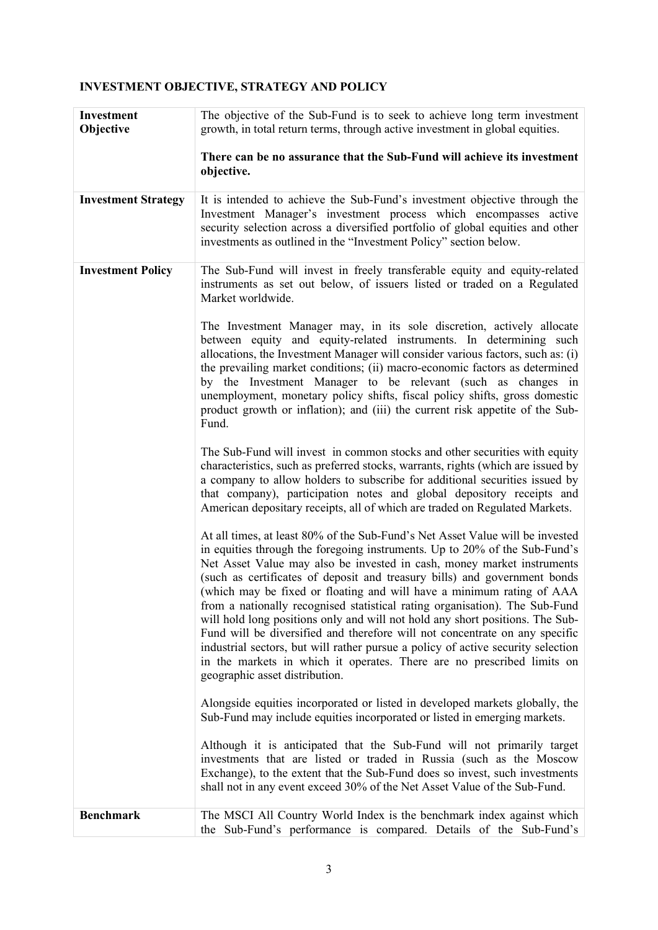# **INVESTMENT OBJECTIVE, STRATEGY AND POLICY**

| Investment<br>Objective    | The objective of the Sub-Fund is to seek to achieve long term investment<br>growth, in total return terms, through active investment in global equities.                                                                                                                                                                                                                                                                                                                                                                                                                                                                                                                                                                                                                                                                                   |  |  |  |  |
|----------------------------|--------------------------------------------------------------------------------------------------------------------------------------------------------------------------------------------------------------------------------------------------------------------------------------------------------------------------------------------------------------------------------------------------------------------------------------------------------------------------------------------------------------------------------------------------------------------------------------------------------------------------------------------------------------------------------------------------------------------------------------------------------------------------------------------------------------------------------------------|--|--|--|--|
|                            | There can be no assurance that the Sub-Fund will achieve its investment<br>objective.                                                                                                                                                                                                                                                                                                                                                                                                                                                                                                                                                                                                                                                                                                                                                      |  |  |  |  |
| <b>Investment Strategy</b> | It is intended to achieve the Sub-Fund's investment objective through the<br>Investment Manager's investment process which encompasses active<br>security selection across a diversified portfolio of global equities and other<br>investments as outlined in the "Investment Policy" section below.                                                                                                                                                                                                                                                                                                                                                                                                                                                                                                                                       |  |  |  |  |
| <b>Investment Policy</b>   | The Sub-Fund will invest in freely transferable equity and equity-related<br>instruments as set out below, of issuers listed or traded on a Regulated<br>Market worldwide.                                                                                                                                                                                                                                                                                                                                                                                                                                                                                                                                                                                                                                                                 |  |  |  |  |
|                            | The Investment Manager may, in its sole discretion, actively allocate<br>between equity and equity-related instruments. In determining such<br>allocations, the Investment Manager will consider various factors, such as: (i)<br>the prevailing market conditions; (ii) macro-economic factors as determined<br>by the Investment Manager to be relevant (such as changes in<br>unemployment, monetary policy shifts, fiscal policy shifts, gross domestic<br>product growth or inflation); and (iii) the current risk appetite of the Sub-<br>Fund.                                                                                                                                                                                                                                                                                      |  |  |  |  |
|                            | The Sub-Fund will invest in common stocks and other securities with equity<br>characteristics, such as preferred stocks, warrants, rights (which are issued by<br>a company to allow holders to subscribe for additional securities issued by<br>that company), participation notes and global depository receipts and<br>American depositary receipts, all of which are traded on Regulated Markets.                                                                                                                                                                                                                                                                                                                                                                                                                                      |  |  |  |  |
|                            | At all times, at least 80% of the Sub-Fund's Net Asset Value will be invested<br>in equities through the foregoing instruments. Up to 20% of the Sub-Fund's<br>Net Asset Value may also be invested in cash, money market instruments<br>(such as certificates of deposit and treasury bills) and government bonds<br>(which may be fixed or floating and will have a minimum rating of AAA<br>from a nationally recognised statistical rating organisation). The Sub-Fund<br>will hold long positions only and will not hold any short positions. The Sub-<br>Fund will be diversified and therefore will not concentrate on any specific<br>industrial sectors, but will rather pursue a policy of active security selection<br>in the markets in which it operates. There are no prescribed limits on<br>geographic asset distribution. |  |  |  |  |
|                            | Alongside equities incorporated or listed in developed markets globally, the<br>Sub-Fund may include equities incorporated or listed in emerging markets.                                                                                                                                                                                                                                                                                                                                                                                                                                                                                                                                                                                                                                                                                  |  |  |  |  |
|                            | Although it is anticipated that the Sub-Fund will not primarily target<br>investments that are listed or traded in Russia (such as the Moscow<br>Exchange), to the extent that the Sub-Fund does so invest, such investments<br>shall not in any event exceed 30% of the Net Asset Value of the Sub-Fund.                                                                                                                                                                                                                                                                                                                                                                                                                                                                                                                                  |  |  |  |  |
| <b>Benchmark</b>           | The MSCI All Country World Index is the benchmark index against which<br>the Sub-Fund's performance is compared. Details of the Sub-Fund's                                                                                                                                                                                                                                                                                                                                                                                                                                                                                                                                                                                                                                                                                                 |  |  |  |  |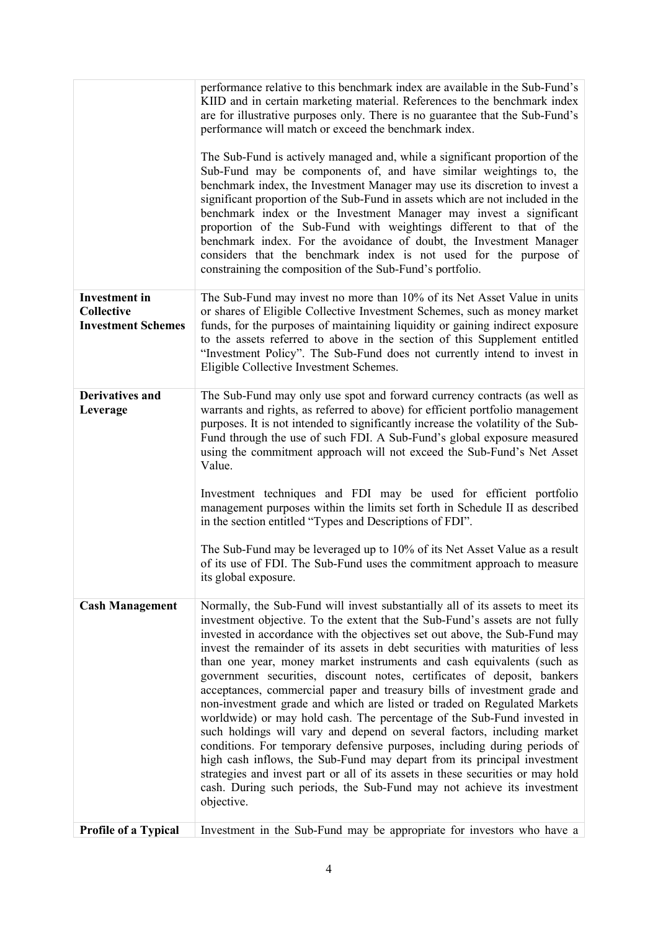|                                                                        | performance relative to this benchmark index are available in the Sub-Fund's<br>KIID and in certain marketing material. References to the benchmark index<br>are for illustrative purposes only. There is no guarantee that the Sub-Fund's<br>performance will match or exceed the benchmark index.<br>The Sub-Fund is actively managed and, while a significant proportion of the<br>Sub-Fund may be components of, and have similar weightings to, the<br>benchmark index, the Investment Manager may use its discretion to invest a<br>significant proportion of the Sub-Fund in assets which are not included in the<br>benchmark index or the Investment Manager may invest a significant<br>proportion of the Sub-Fund with weightings different to that of the<br>benchmark index. For the avoidance of doubt, the Investment Manager<br>considers that the benchmark index is not used for the purpose of<br>constraining the composition of the Sub-Fund's portfolio.                                                                                                                                                      |
|------------------------------------------------------------------------|-------------------------------------------------------------------------------------------------------------------------------------------------------------------------------------------------------------------------------------------------------------------------------------------------------------------------------------------------------------------------------------------------------------------------------------------------------------------------------------------------------------------------------------------------------------------------------------------------------------------------------------------------------------------------------------------------------------------------------------------------------------------------------------------------------------------------------------------------------------------------------------------------------------------------------------------------------------------------------------------------------------------------------------------------------------------------------------------------------------------------------------|
| <b>Investment</b> in<br><b>Collective</b><br><b>Investment Schemes</b> | The Sub-Fund may invest no more than 10% of its Net Asset Value in units<br>or shares of Eligible Collective Investment Schemes, such as money market<br>funds, for the purposes of maintaining liquidity or gaining indirect exposure<br>to the assets referred to above in the section of this Supplement entitled<br>"Investment Policy". The Sub-Fund does not currently intend to invest in<br>Eligible Collective Investment Schemes.                                                                                                                                                                                                                                                                                                                                                                                                                                                                                                                                                                                                                                                                                         |
| <b>Derivatives and</b><br>Leverage                                     | The Sub-Fund may only use spot and forward currency contracts (as well as<br>warrants and rights, as referred to above) for efficient portfolio management<br>purposes. It is not intended to significantly increase the volatility of the Sub-<br>Fund through the use of such FDI. A Sub-Fund's global exposure measured<br>using the commitment approach will not exceed the Sub-Fund's Net Asset<br>Value.<br>Investment techniques and FDI may be used for efficient portfolio<br>management purposes within the limits set forth in Schedule II as described<br>in the section entitled "Types and Descriptions of FDI".<br>The Sub-Fund may be leveraged up to 10% of its Net Asset Value as a result<br>of its use of FDI. The Sub-Fund uses the commitment approach to measure<br>its global exposure.                                                                                                                                                                                                                                                                                                                     |
| <b>Cash Management</b>                                                 | Normally, the Sub-Fund will invest substantially all of its assets to meet its<br>investment objective. To the extent that the Sub-Fund's assets are not fully<br>invested in accordance with the objectives set out above, the Sub-Fund may<br>invest the remainder of its assets in debt securities with maturities of less<br>than one year, money market instruments and cash equivalents (such as<br>government securities, discount notes, certificates of deposit, bankers<br>acceptances, commercial paper and treasury bills of investment grade and<br>non-investment grade and which are listed or traded on Regulated Markets<br>worldwide) or may hold cash. The percentage of the Sub-Fund invested in<br>such holdings will vary and depend on several factors, including market<br>conditions. For temporary defensive purposes, including during periods of<br>high cash inflows, the Sub-Fund may depart from its principal investment<br>strategies and invest part or all of its assets in these securities or may hold<br>cash. During such periods, the Sub-Fund may not achieve its investment<br>objective. |
| Profile of a Typical                                                   | Investment in the Sub-Fund may be appropriate for investors who have a                                                                                                                                                                                                                                                                                                                                                                                                                                                                                                                                                                                                                                                                                                                                                                                                                                                                                                                                                                                                                                                              |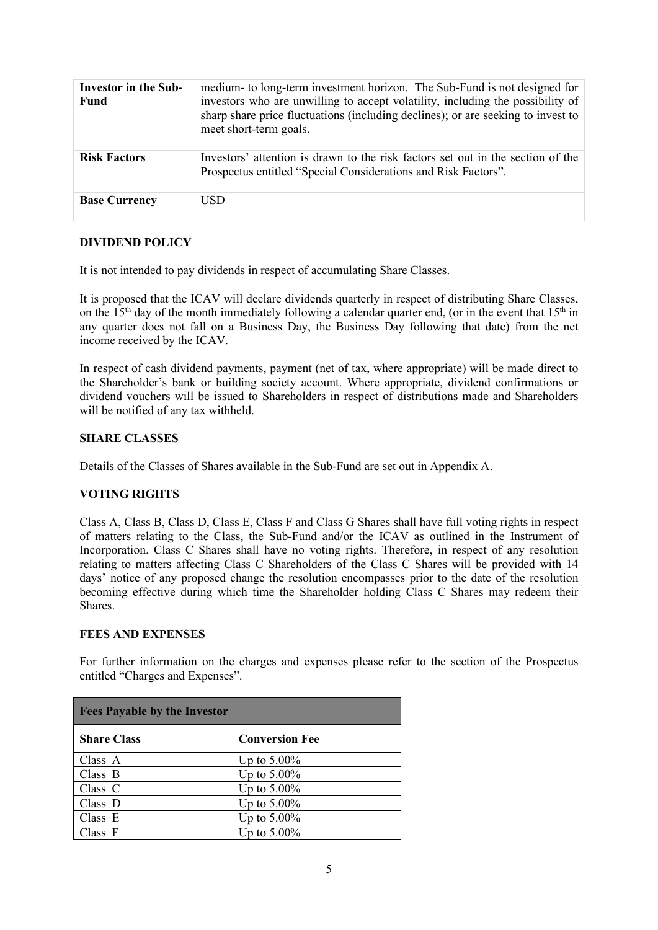| <b>Investor in the Sub-</b><br><b>Fund</b> | medium- to long-term investment horizon. The Sub-Fund is not designed for<br>investors who are unwilling to accept volatility, including the possibility of<br>sharp share price fluctuations (including declines); or are seeking to invest to<br>meet short-term goals. |
|--------------------------------------------|---------------------------------------------------------------------------------------------------------------------------------------------------------------------------------------------------------------------------------------------------------------------------|
| <b>Risk Factors</b>                        | Investors' attention is drawn to the risk factors set out in the section of the<br>Prospectus entitled "Special Considerations and Risk Factors".                                                                                                                         |
| <b>Base Currency</b>                       | USD.                                                                                                                                                                                                                                                                      |

### **DIVIDEND POLICY**

It is not intended to pay dividends in respect of accumulating Share Classes.

It is proposed that the ICAV will declare dividends quarterly in respect of distributing Share Classes, on the  $15<sup>th</sup>$  day of the month immediately following a calendar quarter end, (or in the event that  $15<sup>th</sup>$  in any quarter does not fall on a Business Day, the Business Day following that date) from the net income received by the ICAV.

In respect of cash dividend payments, payment (net of tax, where appropriate) will be made direct to the Shareholder's bank or building society account. Where appropriate, dividend confirmations or dividend vouchers will be issued to Shareholders in respect of distributions made and Shareholders will be notified of any tax withheld.

#### **SHARE CLASSES**

Details of the Classes of Shares available in the Sub-Fund are set out in Appendix A.

#### **VOTING RIGHTS**

Class A, Class B, Class D, Class E, Class F and Class G Shares shall have full voting rights in respect of matters relating to the Class, the Sub-Fund and/or the ICAV as outlined in the Instrument of Incorporation. Class C Shares shall have no voting rights. Therefore, in respect of any resolution relating to matters affecting Class C Shareholders of the Class C Shares will be provided with 14 days' notice of any proposed change the resolution encompasses prior to the date of the resolution becoming effective during which time the Shareholder holding Class C Shares may redeem their Shares.

#### **FEES AND EXPENSES**

For further information on the charges and expenses please refer to the section of the Prospectus entitled "Charges and Expenses".

| <b>Fees Payable by the Investor</b> |                       |
|-------------------------------------|-----------------------|
| <b>Share Class</b>                  | <b>Conversion Fee</b> |
| Class A                             | Up to $5.00\%$        |
| Class B                             | Up to $5.00\%$        |
| Class $C$                           | Up to $5.00\%$        |
| Class D                             | Up to $5.00\%$        |
| Class E                             | Up to $5.00\%$        |
| Class F                             | Up to $5.00\%$        |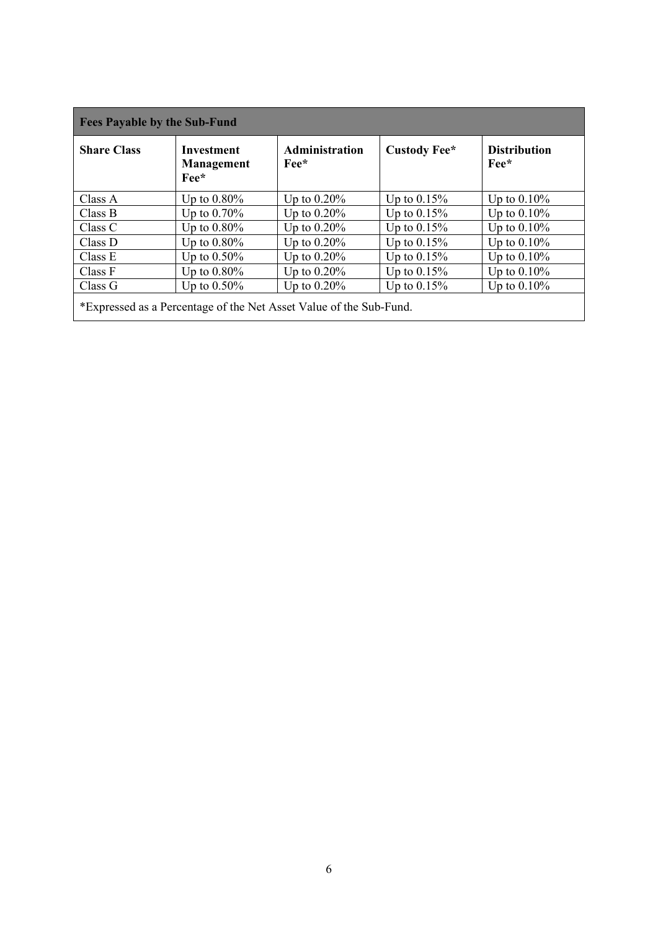| <b>Fees Payable by the Sub-Fund</b>                                |                                                           |                                        |                |                                               |  |  |
|--------------------------------------------------------------------|-----------------------------------------------------------|----------------------------------------|----------------|-----------------------------------------------|--|--|
| <b>Share Class</b>                                                 | Investment<br><b>Management</b><br>$\rm{Fe}$ <sup>*</sup> | <b>Administration</b><br>$\text{Fe}^*$ | Custody Fee*   | <b>Distribution</b><br>$\rm{Fe}$ <sup>*</sup> |  |  |
| Class A                                                            | Up to $0.80\%$                                            | Up to $0.20\%$                         | Up to $0.15%$  | Up to $0.10\%$                                |  |  |
| Class B                                                            | Up to $0.70\%$                                            | Up to $0.20\%$                         | Up to $0.15\%$ | Up to $0.10\%$                                |  |  |
| Class C                                                            | Up to $0.80\%$                                            | Up to $0.20\%$                         | Up to $0.15\%$ | Up to $0.10\%$                                |  |  |
| Class D                                                            | Up to $0.80\%$                                            | Up to $0.20\%$                         | Up to $0.15\%$ | Up to $0.10\%$                                |  |  |
| Class E                                                            | Up to $0.50\%$                                            | Up to $0.20\%$                         | Up to $0.15\%$ | Up to $0.10\%$                                |  |  |
| Class F                                                            | Up to $0.80\%$                                            | Up to $0.20\%$                         | Up to $0.15%$  | Up to $0.10\%$                                |  |  |
| Class G                                                            | Up to $0.50\%$                                            | Up to $0.20\%$                         | Up to $0.15%$  | Up to $0.10\%$                                |  |  |
| *Expressed as a Percentage of the Net Asset Value of the Sub-Fund. |                                                           |                                        |                |                                               |  |  |